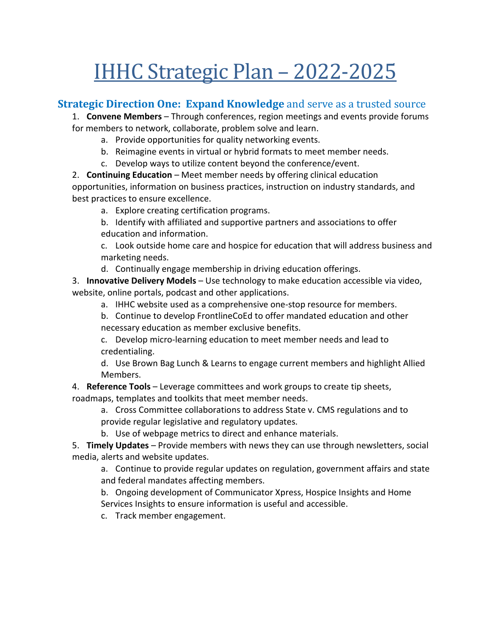# IHHC Strategic Plan – 2022-2025

#### **Strategic Direction One: Expand Knowledge** and serve as a trusted source

1. **Convene Members** – Through conferences, region meetings and events provide forums for members to network, collaborate, problem solve and learn.

- a. Provide opportunities for quality networking events.
- b. Reimagine events in virtual or hybrid formats to meet member needs.
- c. Develop ways to utilize content beyond the conference/event.

2. **Continuing Education** – Meet member needs by offering clinical education opportunities, information on business practices, instruction on industry standards, and best practices to ensure excellence.

- a. Explore creating certification programs.
- b. Identify with affiliated and supportive partners and associations to offer education and information.

c. Look outside home care and hospice for education that will address business and marketing needs.

d. Continually engage membership in driving education offerings.

3. **Innovative Delivery Models** – Use technology to make education accessible via video, website, online portals, podcast and other applications.

a. IHHC website used as a comprehensive one-stop resource for members.

b. Continue to develop FrontlineCoEd to offer mandated education and other necessary education as member exclusive benefits.

c. Develop micro-learning education to meet member needs and lead to credentialing.

d. Use Brown Bag Lunch & Learns to engage current members and highlight Allied Members.

4. **Reference Tools** – Leverage committees and work groups to create tip sheets,

roadmaps, templates and toolkits that meet member needs.

a. Cross Committee collaborations to address State v. CMS regulations and to

provide regular legislative and regulatory updates.

b. Use of webpage metrics to direct and enhance materials.

5. **Timely Updates** – Provide members with news they can use through newsletters, social media, alerts and website updates.

a. Continue to provide regular updates on regulation, government affairs and state and federal mandates affecting members.

b. Ongoing development of Communicator Xpress, Hospice Insights and Home Services Insights to ensure information is useful and accessible.

c. Track member engagement.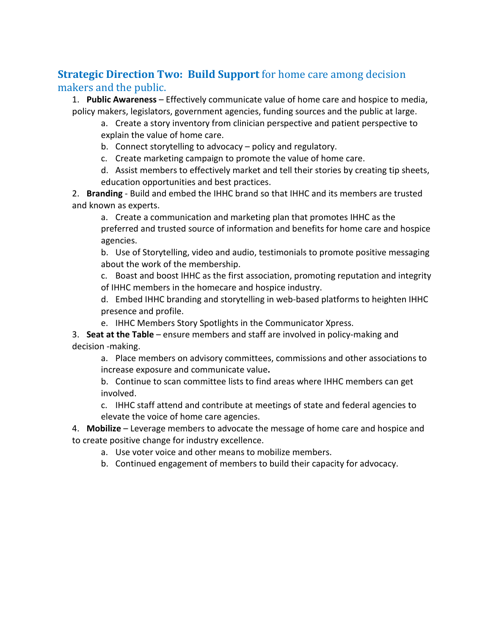## **Strategic Direction Two: Build Support** for home care among decision makers and the public.

1. **Public Awareness** – Effectively communicate value of home care and hospice to media, policy makers, legislators, government agencies, funding sources and the public at large.

a. Create a story inventory from clinician perspective and patient perspective to explain the value of home care.

b. Connect storytelling to advocacy – policy and regulatory.

c. Create marketing campaign to promote the value of home care.

d. Assist members to effectively market and tell their stories by creating tip sheets, education opportunities and best practices.

2. **Branding** - Build and embed the IHHC brand so that IHHC and its members are trusted and known as experts.

a. Create a communication and marketing plan that promotes IHHC as the preferred and trusted source of information and benefits for home care and hospice agencies.

b. Use of Storytelling, video and audio, testimonials to promote positive messaging about the work of the membership.

c. Boast and boost IHHC as the first association, promoting reputation and integrity of IHHC members in the homecare and hospice industry.

d. Embed IHHC branding and storytelling in web-based platforms to heighten IHHC presence and profile.

e. IHHC Members Story Spotlights in the Communicator Xpress.

3. **Seat at the Table** – ensure members and staff are involved in policy-making and decision -making.

a. Place members on advisory committees, commissions and other associations to increase exposure and communicate value**.**

b. Continue to scan committee lists to find areas where IHHC members can get involved.

c. IHHC staff attend and contribute at meetings of state and federal agencies to elevate the voice of home care agencies.

4. **Mobilize** – Leverage members to advocate the message of home care and hospice and to create positive change for industry excellence.

- a. Use voter voice and other means to mobilize members.
- b. Continued engagement of members to build their capacity for advocacy.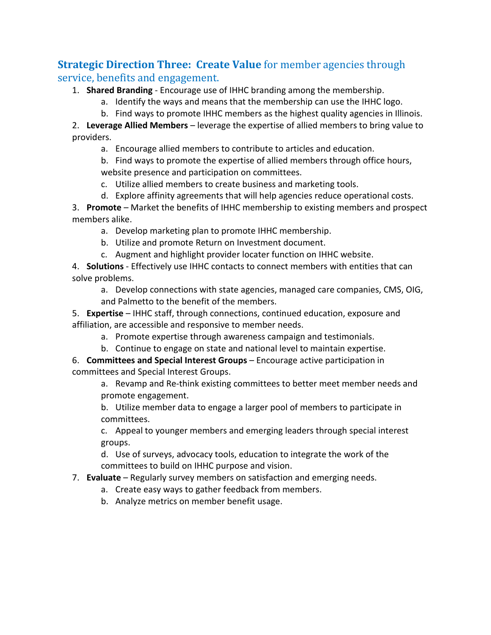## **Strategic Direction Three: Create Value** for member agencies through service, benefits and engagement.

1. **Shared Branding** - Encourage use of IHHC branding among the membership.

- a. Identify the ways and means that the membership can use the IHHC logo.
- b. Find ways to promote IHHC members as the highest quality agencies in Illinois.

2. **Leverage Allied Members** – leverage the expertise of allied members to bring value to providers.

a. Encourage allied members to contribute to articles and education.

b. Find ways to promote the expertise of allied members through office hours, website presence and participation on committees.

- c. Utilize allied members to create business and marketing tools.
- d. Explore affinity agreements that will help agencies reduce operational costs. 3. **Promote** – Market the benefits of IHHC membership to existing members and prospect members alike.
	- a. Develop marketing plan to promote IHHC membership.
	- b. Utilize and promote Return on Investment document.
	- c. Augment and highlight provider locater function on IHHC website.

4. **Solutions** - Effectively use IHHC contacts to connect members with entities that can solve problems.

a. Develop connections with state agencies, managed care companies, CMS, OIG, and Palmetto to the benefit of the members.

5. **Expertise** – IHHC staff, through connections, continued education, exposure and affiliation, are accessible and responsive to member needs.

- a. Promote expertise through awareness campaign and testimonials.
- b. Continue to engage on state and national level to maintain expertise.

6. **Committees and Special Interest Groups** – Encourage active participation in committees and Special Interest Groups.

a. Revamp and Re-think existing committees to better meet member needs and promote engagement.

b. Utilize member data to engage a larger pool of members to participate in committees.

c. Appeal to younger members and emerging leaders through special interest groups.

d. Use of surveys, advocacy tools, education to integrate the work of the committees to build on IHHC purpose and vision.

#### 7. **Evaluate** – Regularly survey members on satisfaction and emerging needs.

a. Create easy ways to gather feedback from members.

b. Analyze metrics on member benefit usage.